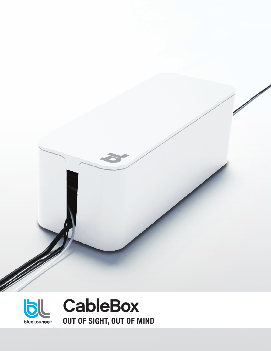

**F.** +1 626 628 3287